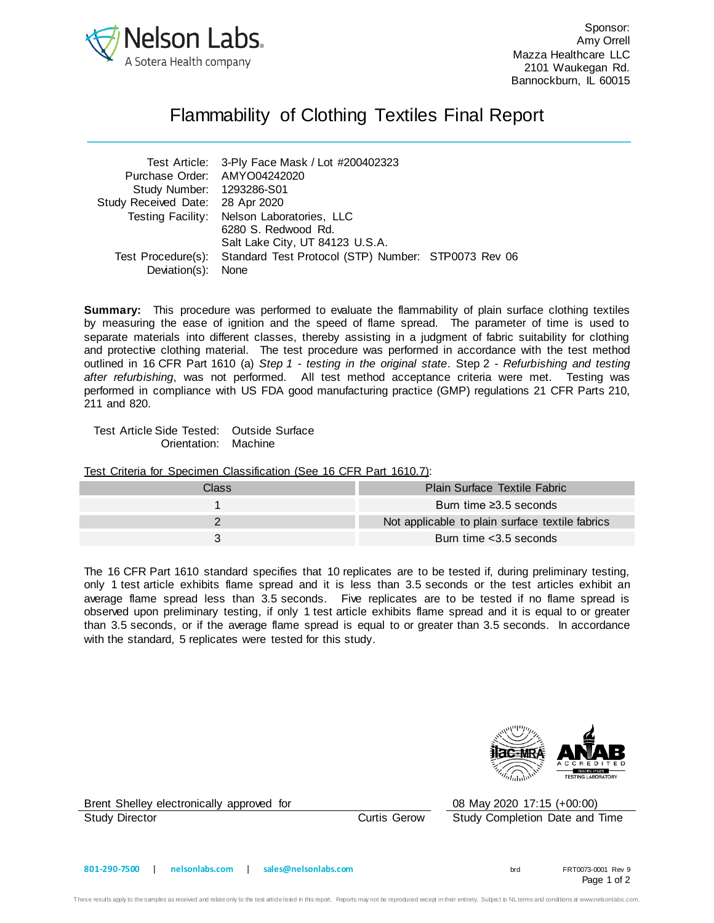

Sponsor: Amy Orrell Mazza Healthcare LLC 2101 Waukegan Rd. Bannockburn, IL 60015

## Flammability of Clothing Textiles Final Report

|                                  | Test Article: 3-Ply Face Mask / Lot #200402323                         |  |
|----------------------------------|------------------------------------------------------------------------|--|
| Purchase Order: AMYO04242020     |                                                                        |  |
| Study Number: 1293286-S01        |                                                                        |  |
| Study Received Date: 28 Apr 2020 |                                                                        |  |
|                                  | Testing Facility: Nelson Laboratories, LLC                             |  |
|                                  | 6280 S. Redwood Rd.                                                    |  |
|                                  | Salt Lake City, UT 84123 U.S.A.                                        |  |
|                                  | Test Procedure(s): Standard Test Protocol (STP) Number: STP0073 Rev 06 |  |
| Deviation(s):                    | None                                                                   |  |

**Summary:** This procedure was performed to evaluate the flammability of plain surface clothing textiles by measuring the ease of ignition and the speed of flame spread. The parameter of time is used to separate materials into different classes, thereby assisting in a judgment of fabric suitability for clothing and protective clothing material. The test procedure was performed in accordance with the test method outlined in 16 CFR Part 1610 (a) *Step 1 - testing in the original state*. Step 2 - *Refurbishing and testing after refurbishing*, was not performed. All test method acceptance criteria were met. Testing was performed in compliance with US FDA good manufacturing practice (GMP) regulations 21 CFR Parts 210, 211 and 820.

Test Article Side Tested: Outside Surface Orientation: Machine

Test Criteria for Specimen Classification (See 16 CFR Part 1610.7):

| Class | Plain Surface Textile Fabric                    |
|-------|-------------------------------------------------|
|       |                                                 |
|       | Burn time $\geq 3.5$ seconds                    |
|       |                                                 |
|       | Not applicable to plain surface textile fabrics |
|       |                                                 |
|       | Burn time < 3.5 seconds                         |
|       |                                                 |

The 16 CFR Part 1610 standard specifies that 10 replicates are to be tested if, during preliminary testing, only 1 test article exhibits flame spread and it is less than 3.5 seconds or the test articles exhibit an average flame spread less than 3.5 seconds. Five replicates are to be tested if no flame spread is observed upon preliminary testing, if only 1 test article exhibits flame spread and it is equal to or greater than 3.5 seconds, or if the average flame spread is equal to or greater than 3.5 seconds. In accordance with the standard, 5 replicates were tested for this study.



Brent Shelley electronically approved for 08 May 2020 17:15 (+00:00)

Study Director Curtis Gerow Study Completion Date and Time

Page 1 of 2